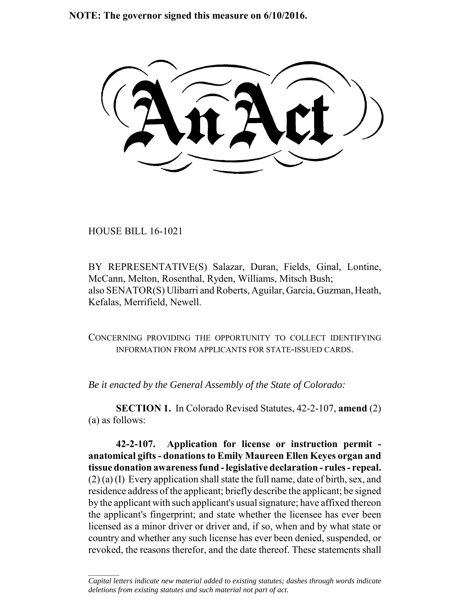**NOTE: The governor signed this measure on 6/10/2016.**

HOUSE BILL 16-1021

 $\frac{1}{2}$ 

BY REPRESENTATIVE(S) Salazar, Duran, Fields, Ginal, Lontine, McCann, Melton, Rosenthal, Ryden, Williams, Mitsch Bush; also SENATOR(S) Ulibarri and Roberts, Aguilar, Garcia, Guzman, Heath, Kefalas, Merrifield, Newell.

CONCERNING PROVIDING THE OPPORTUNITY TO COLLECT IDENTIFYING INFORMATION FROM APPLICANTS FOR STATE-ISSUED CARDS.

*Be it enacted by the General Assembly of the State of Colorado:*

**SECTION 1.** In Colorado Revised Statutes, 42-2-107, **amend** (2) (a) as follows:

**42-2-107. Application for license or instruction permit anatomical gifts - donations to Emily Maureen Ellen Keyes organ and tissue donation awareness fund - legislative declaration - rules - repeal.** (2) (a) (I) Every application shall state the full name, date of birth, sex, and residence address of the applicant; briefly describe the applicant; be signed by the applicant with such applicant's usual signature; have affixed thereon the applicant's fingerprint; and state whether the licensee has ever been licensed as a minor driver or driver and, if so, when and by what state or country and whether any such license has ever been denied, suspended, or revoked, the reasons therefor, and the date thereof. These statements shall

*Capital letters indicate new material added to existing statutes; dashes through words indicate deletions from existing statutes and such material not part of act.*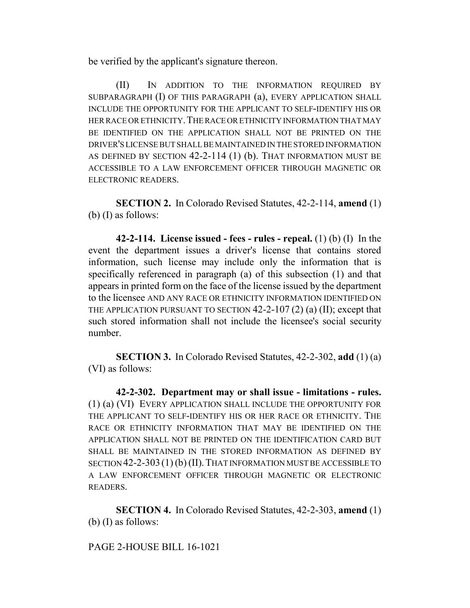be verified by the applicant's signature thereon.

(II) IN ADDITION TO THE INFORMATION REQUIRED BY SUBPARAGRAPH (I) OF THIS PARAGRAPH (a), EVERY APPLICATION SHALL INCLUDE THE OPPORTUNITY FOR THE APPLICANT TO SELF-IDENTIFY HIS OR HER RACE OR ETHNICITY. THE RACE OR ETHNICITY INFORMATION THAT MAY BE IDENTIFIED ON THE APPLICATION SHALL NOT BE PRINTED ON THE DRIVER'S LICENSE BUT SHALL BE MAINTAINED IN THE STORED INFORMATION AS DEFINED BY SECTION 42-2-114 (1) (b). THAT INFORMATION MUST BE ACCESSIBLE TO A LAW ENFORCEMENT OFFICER THROUGH MAGNETIC OR ELECTRONIC READERS.

**SECTION 2.** In Colorado Revised Statutes, 42-2-114, **amend** (1) (b) (I) as follows:

**42-2-114. License issued - fees - rules - repeal.** (1) (b) (I) In the event the department issues a driver's license that contains stored information, such license may include only the information that is specifically referenced in paragraph (a) of this subsection (1) and that appears in printed form on the face of the license issued by the department to the licensee AND ANY RACE OR ETHNICITY INFORMATION IDENTIFIED ON THE APPLICATION PURSUANT TO SECTION 42-2-107 (2) (a) (II); except that such stored information shall not include the licensee's social security number.

**SECTION 3.** In Colorado Revised Statutes, 42-2-302, **add** (1) (a) (VI) as follows:

**42-2-302. Department may or shall issue - limitations - rules.** (1) (a) (VI) EVERY APPLICATION SHALL INCLUDE THE OPPORTUNITY FOR THE APPLICANT TO SELF-IDENTIFY HIS OR HER RACE OR ETHNICITY. THE RACE OR ETHNICITY INFORMATION THAT MAY BE IDENTIFIED ON THE APPLICATION SHALL NOT BE PRINTED ON THE IDENTIFICATION CARD BUT SHALL BE MAINTAINED IN THE STORED INFORMATION AS DEFINED BY SECTION 42-2-303(1) (b) (II).THAT INFORMATION MUST BE ACCESSIBLE TO A LAW ENFORCEMENT OFFICER THROUGH MAGNETIC OR ELECTRONIC READERS.

**SECTION 4.** In Colorado Revised Statutes, 42-2-303, **amend** (1) (b) (I) as follows:

## PAGE 2-HOUSE BILL 16-1021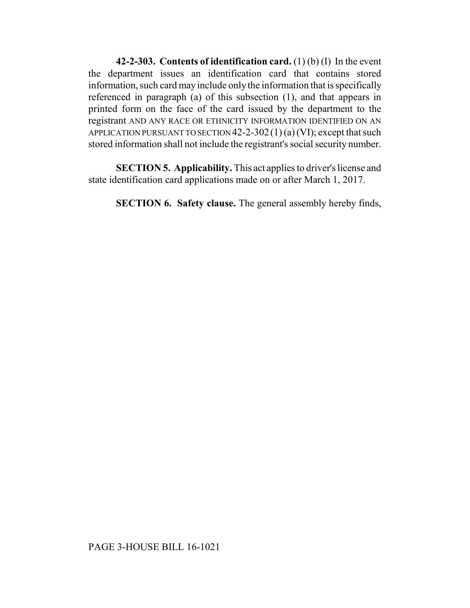**42-2-303. Contents of identification card.** (1) (b) (I) In the event the department issues an identification card that contains stored information, such card may include only the information that is specifically referenced in paragraph (a) of this subsection (1), and that appears in printed form on the face of the card issued by the department to the registrant AND ANY RACE OR ETHNICITY INFORMATION IDENTIFIED ON AN APPLICATION PURSUANT TO SECTION  $42$ -2-302(1)(a) (VI); except that such stored information shall not include the registrant's social security number.

**SECTION 5. Applicability.** This act applies to driver's license and state identification card applications made on or after March 1, 2017.

**SECTION 6. Safety clause.** The general assembly hereby finds,